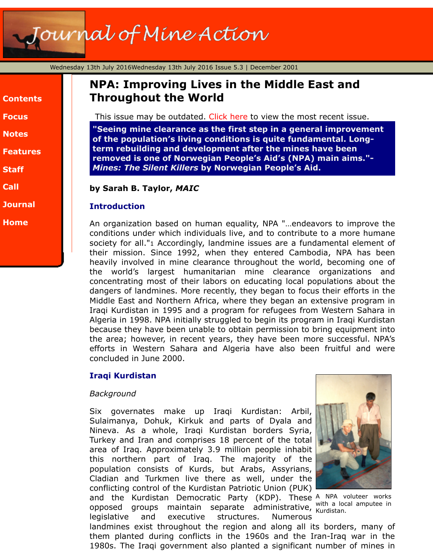| <b>Contents</b> |  |
|-----------------|--|
| <b>Focus</b>    |  |
| <b>Notes</b>    |  |
| <b>Features</b> |  |
| <b>Staff</b>    |  |
| Call            |  |
| <b>Journal</b>  |  |
| <b>Home</b>     |  |

# **NPA: Improving Lives in the Middle East and Throughout the World**

This issue may be outdated. Click here to view the most recent issue.

"Seeing mine clearance as the first step in a general improvem **of the population's living conditions is quite fundamental. Longterm rebuilding and development after the mines have been removed is one of Norwegian People's Aid's (NPA) main aims."-** *Mines: The Silent Killers* **by Norwegian People's Aid.**

**by Sarah B. Taylor,** *MAIC*

## **Introduction**

An organization based on human equality, NPA "...endeavors to impro conditions under which individuals live, and to contribute to a more h society for all."1 Accordingly, landmine issues are a fundamental elen their mission. Since 1992, when they entered Cambodia, NPA has heavily involved in mine clearance throughout the world, becoming the world's largest humanitarian mine clearance organization concentrating most of their labors on educating local populations about dangers of landmines. More recently, they began to focus their efforts Middle East and Northern Africa, where they began an extensive program Iragi Kurdistan in 1995 and a program for refugees from Western Sahara in 1995 and a program for refugees from Algeria in 1998. NPA initially struggled to begin its program in Iragi Ku because they have been unable to obtain permission to bring equipment the area; however, in recent years, they have been more successful. efforts in Western Sahara and Algeria have also been fruitful and concluded in June 2000.

# **Iraqi Kurdistan**

#### *Background*

Six governates make up Iraqi Kurdistan: Arbil, Sulaimanya, Dohuk, Kirkuk and parts of Dyala and Nineva. As a whole, Iraqi Kurdistan borders Syria, Turkey and Iran and comprises 18 percent of the total area of Iraq. Approximately 3.9 million people inhabit this northern part of Iraq. The majority of the population consists of Kurds, but Arabs, Assyrians, Cladian and Turkmen live there as well, under the conflicting control of the Kurdistan Patriotic Union (PUK)



and the Kurdistan Democratic Party (KDP). These A NPA voluteer with a local amp opposed groups maintain separate administrative, will a loc legislative and executive structures. Numerous

landmines exist throughout the region and along all its borders, many them planted during conflicts in the 1960s and the Iran-Iraq war 1980s. The Iraqi government also planted a significant number of m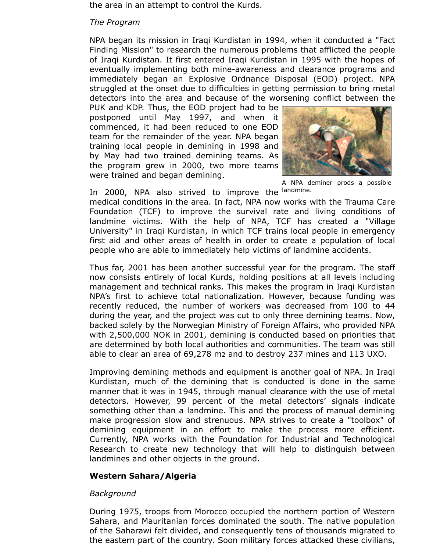the area in an attempt to control the Kurds.

#### *The Program*

NPA began its mission in Iraqi Kurdistan in 1994, when it conducted a "Fact Finding Mission" to research the numerous problems that afflicted the people of Iraqi Kurdistan. It first entered Iraqi Kurdistan in 1995 with the hopes of eventually implementing both mine-awareness and clearance programs and immediately began an Explosive Ordnance Disposal (EOD) project. NPA struggled at the onset due to difficulties in getting permission to bring metal detectors into the area and because of the worsening conflict between the

PUK and KDP. Thus, the EOD project had to be postponed until May 1997, and when it commenced, it had been reduced to one EOD team for the remainder of the year. NPA began training local people in demining in 1998 and by May had two trained demining teams. As the program grew in 2000, two more teams were trained and began demining.



A NPA deminer prods a possible

In 2000, NPA also strived to improve the landmine. medical conditions in the area. In fact, NPA now works with the Trauma Care Foundation (TCF) to improve the survival rate and living conditions of landmine victims. With the help of NPA, TCF has created a "Village University" in Iraqi Kurdistan, in which TCF trains local people in emergency first aid and other areas of health in order to create a population of local people who are able to immediately help victims of landmine accidents.

Thus far, 2001 has been another successful year for the program. The staff now consists entirely of local Kurds, holding positions at all levels including management and technical ranks. This makes the program in Iraqi Kurdistan NPA's first to achieve total nationalization. However, because funding was recently reduced, the number of workers was decreased from 100 to 44 during the year, and the project was cut to only three demining teams. Now, backed solely by the Norwegian Ministry of Foreign Affairs, who provided NPA with 2,500,000 NOK in 2001, demining is conducted based on priorities that are determined by both local authorities and communities. The team was still able to clear an area of 69,278 m2 and to destroy 237 mines and 113 UXO.

Improving demining methods and equipment is another goal of NPA. In Iraqi Kurdistan, much of the demining that is conducted is done in the same manner that it was in 1945, through manual clearance with the use of metal detectors. However, 99 percent of the metal detectors' signals indicate something other than a landmine. This and the process of manual demining make progression slow and strenuous. NPA strives to create a "toolbox" of demining equipment in an effort to make the process more efficient. Currently, NPA works with the Foundation for Industrial and Technological Research to create new technology that will help to distinguish between landmines and other objects in the ground.

# **Western Sahara/Algeria**

# *Background*

During 1975, troops from Morocco occupied the northern portion of Western Sahara, and Mauritanian forces dominated the south. The native population of the Saharawi felt divided, and consequently tens of thousands migrated to the eastern part of the country. Soon military forces attacked these civilians,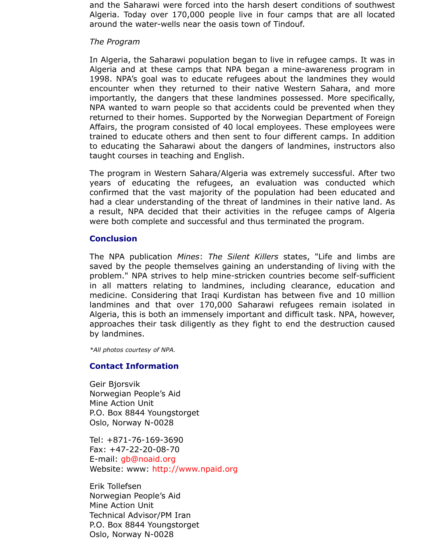1998. NPA's goal was to educate refugees about the landmines they encounter when they returned to their native Western Sahara, and importantly, the dangers that these landmines possessed. More spectrally, the dangers that these individually NPA wanted to warn people so that accidents could be prevented when returned to their homes. Supported by the Norwegian Department of I Affairs, the program consisted of 40 local employees. These employee trained to educate others and then sent to four different camps. In a to educating the Saharawi about the dangers of landmines, instructors taught courses in teaching and English.

The program in Western Sahara/Algeria was extremely successful. After the The Figure of two years of educating the refugees, an evaluation was conducted confirmed that the vast majority of the population had been educated and had a clear understanding of the threat of landmines in their native land. a result, NPA decided that their activities in the refugee camps of were both complete and successful and thus terminated the program.

## **Conclusion**

The NPA publication *Mines: The Silent Killers* states, "Life and lim saved by the people themselves gaining an understanding of living w problem." NPA strives to help mine-stricken countries become self-su in all matters relating to landmines, including clearance, education medicine. Considering that Iraqi Kurdistan has between five and 10 landmines and that over 170,000 Saharawi refugees remain isola Algeria, this is both an immensely important and difficult task. NPA, how approaches their task diligently as they fight to end the destruction by landmines.

*\*All photos courtesy of NPA.*

#### **Contact Information**

Geir Bjorsvik Norwegian People's Aid Mine Action Unit P.O. Box 8844 Youngstorget Oslo, Norway N-0028

Tel: +871-76-169-3690 Fax: +47-22-20-08-70 E-mail: gb@noaid.org Website: www: http://www.npaid.org

Erik Tollefsen Norwegian People's Aid Mine Action Unit Technical Advisor/PM Iran P.O. Box 8844 Youngstorget Oslo, N[orway N-0028](mailto:gb@noaid.org)